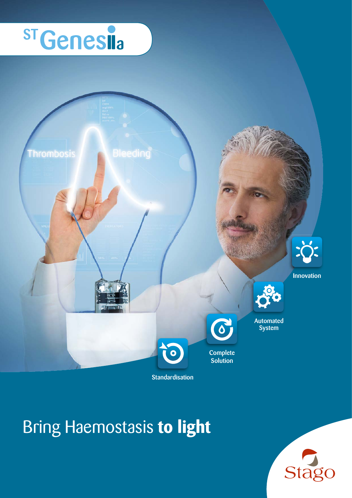## **ST Genesia**



## Bring Haemostasis **to light**